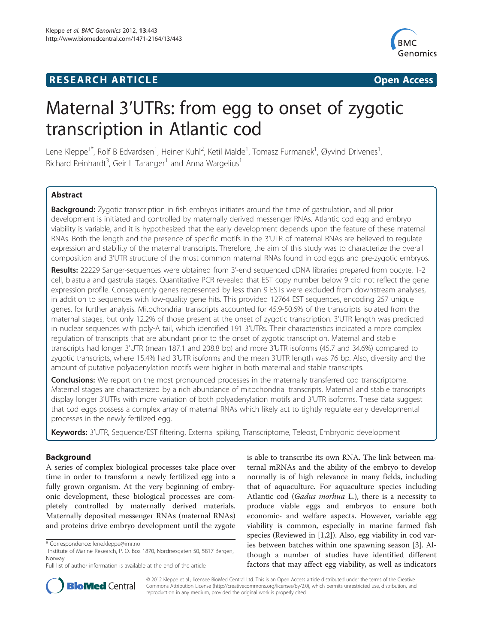# **RESEARCH ARTICLE Example 2014 12:30 The SEAR CHA R TIGGS** 2014 12:30 The Open Access



# Maternal 3'UTRs: from egg to onset of zygotic transcription in Atlantic cod

Lene Kleppe<sup>1\*</sup>, Rolf B Edvardsen<sup>1</sup>, Heiner Kuhl<sup>2</sup>, Ketil Malde<sup>1</sup>, Tomasz Furmanek<sup>1</sup>, Øyvind Drivenes<sup>1</sup> , Richard Reinhardt<sup>3</sup>, Geir L Taranger<sup>1</sup> and Anna Wargelius<sup>1</sup>

# **Abstract**

Background: Zygotic transcription in fish embryos initiates around the time of gastrulation, and all prior development is initiated and controlled by maternally derived messenger RNAs. Atlantic cod egg and embryo viability is variable, and it is hypothesized that the early development depends upon the feature of these maternal RNAs. Both the length and the presence of specific motifs in the 3'UTR of maternal RNAs are believed to regulate expression and stability of the maternal transcripts. Therefore, the aim of this study was to characterize the overall composition and 3'UTR structure of the most common maternal RNAs found in cod eggs and pre-zygotic embryos.

Results: 22229 Sanger-sequences were obtained from 3'-end sequenced cDNA libraries prepared from oocyte, 1-2 cell, blastula and gastrula stages. Quantitative PCR revealed that EST copy number below 9 did not reflect the gene expression profile. Consequently genes represented by less than 9 ESTs were excluded from downstream analyses, in addition to sequences with low-quality gene hits. This provided 12764 EST sequences, encoding 257 unique genes, for further analysis. Mitochondrial transcripts accounted for 45.9-50.6% of the transcripts isolated from the maternal stages, but only 12.2% of those present at the onset of zygotic transcription. 3'UTR length was predicted in nuclear sequences with poly-A tail, which identified 191 3'UTRs. Their characteristics indicated a more complex regulation of transcripts that are abundant prior to the onset of zygotic transcription. Maternal and stable transcripts had longer 3'UTR (mean 187.1 and 208.8 bp) and more 3'UTR isoforms (45.7 and 34.6%) compared to zygotic transcripts, where 15.4% had 3'UTR isoforms and the mean 3'UTR length was 76 bp. Also, diversity and the amount of putative polyadenylation motifs were higher in both maternal and stable transcripts.

**Conclusions:** We report on the most pronounced processes in the maternally transferred cod transcriptome. Maternal stages are characterized by a rich abundance of mitochondrial transcripts. Maternal and stable transcripts display longer 3'UTRs with more variation of both polyadenylation motifs and 3'UTR isoforms. These data suggest that cod eggs possess a complex array of maternal RNAs which likely act to tightly regulate early developmental processes in the newly fertilized egg.

Keywords: 3'UTR, Sequence/EST filtering, External spiking, Transcriptome, Teleost, Embryonic development

## Background

A series of complex biological processes take place over time in order to transform a newly fertilized egg into a fully grown organism. At the very beginning of embryonic development, these biological processes are completely controlled by maternally derived materials. Maternally deposited messenger RNAs (maternal RNAs) and proteins drive embryo development until the zygote

is able to transcribe its own RNA. The link between maternal mRNAs and the ability of the embryo to develop normally is of high relevance in many fields, including that of aquaculture. For aquaculture species including Atlantic cod (Gadus morhua L.), there is a necessity to produce viable eggs and embryos to ensure both economic- and welfare aspects. However, variable egg viability is common, especially in marine farmed fish species (Reviewed in [\[1,2](#page-12-0)]). Also, egg viability in cod varies between batches within one spawning season [[3\]](#page-12-0). Although a number of studies have identified different factors that may affect egg viability, as well as indicators



© 2012 Kleppe et al.; licensee BioMed Central Ltd. This is an Open Access article distributed under the terms of the Creative Commons Attribution License [\(http://creativecommons.org/licenses/by/2.0\)](http://creativecommons.org/licenses/by/2.0), which permits unrestricted use, distribution, and reproduction in any medium, provided the original work is properly cited.

<sup>\*</sup> Correspondence: [lene.kleppe@imr.no](mailto:lene.kleppe@imr.no) <sup>1</sup>

<sup>&</sup>lt;sup>1</sup>Institute of Marine Research, P. O. Box 1870, Nordnesgaten 50, 5817 Bergen, Norway

Full list of author information is available at the end of the article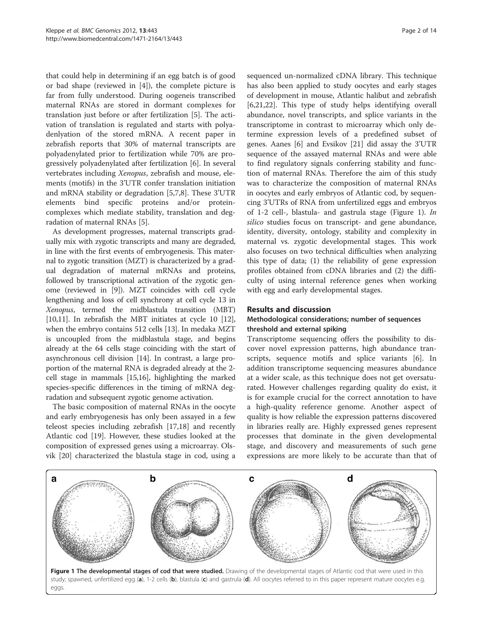<span id="page-1-0"></span>that could help in determining if an egg batch is of good or bad shape (reviewed in [[4\]](#page-12-0)), the complete picture is far from fully understood. During oogeneis transcribed maternal RNAs are stored in dormant complexes for translation just before or after fertilization [[5\]](#page-12-0). The activation of translation is regulated and starts with polyadenlyation of the stored mRNA. A recent paper in zebrafish reports that 30% of maternal transcripts are polyadenylated prior to fertilization while 70% are progressively polyadenylated after fertilization [\[6](#page-12-0)]. In several vertebrates including Xenopus, zebrafish and mouse, elements (motifs) in the 3'UTR confer translation initiation and mRNA stability or degradation [[5,7,8\]](#page-12-0). These 3'UTR elements bind specific proteins and/or proteincomplexes which mediate stability, translation and degradation of maternal RNAs [\[5](#page-12-0)].

As development progresses, maternal transcripts gradually mix with zygotic transcripts and many are degraded, in line with the first events of embryogenesis. This maternal to zygotic transition (MZT) is characterized by a gradual degradation of maternal mRNAs and proteins, followed by transcriptional activation of the zygotic genome (reviewed in [\[9](#page-12-0)]). MZT coincides with cell cycle lengthening and loss of cell synchrony at cell cycle 13 in Xenopus, termed the midblastula transition (MBT) [[10,11](#page-12-0)]. In zebrafish the MBT initiates at cycle 10 [[12](#page-12-0)], when the embryo contains 512 cells [\[13\]](#page-12-0). In medaka MZT is uncoupled from the midblastula stage, and begins already at the 64 cells stage coinciding with the start of asynchronous cell division [\[14](#page-12-0)]. In contrast, a large proportion of the maternal RNA is degraded already at the 2 cell stage in mammals [\[15,16](#page-12-0)], highlighting the marked species-specific differences in the timing of mRNA degradation and subsequent zygotic genome activation.

The basic composition of maternal RNAs in the oocyte and early embryogenesis has only been assayed in a few teleost species including zebrafish [[17](#page-12-0),[18](#page-12-0)] and recently Atlantic cod [\[19](#page-12-0)]. However, these studies looked at the composition of expressed genes using a microarray. Olsvik [[20\]](#page-12-0) characterized the blastula stage in cod, using a

sequenced un-normalized cDNA library. This technique has also been applied to study oocytes and early stages of development in mouse, Atlantic halibut and zebrafish [[6,21,22\]](#page-12-0). This type of study helps identifying overall abundance, novel transcripts, and splice variants in the transcriptome in contrast to microarray which only determine expression levels of a predefined subset of genes. Aanes [[6\]](#page-12-0) and Evsikov [\[21](#page-12-0)] did assay the 3'UTR sequence of the assayed maternal RNAs and were able to find regulatory signals conferring stability and function of maternal RNAs. Therefore the aim of this study was to characterize the composition of maternal RNAs in oocytes and early embryos of Atlantic cod, by sequencing 3'UTRs of RNA from unfertilized eggs and embryos of 1-2 cell-, blastula- and gastrula stage (Figure 1). In silico studies focus on transcript- and gene abundance, identity, diversity, ontology, stability and complexity in maternal vs. zygotic developmental stages. This work also focuses on two technical difficulties when analyzing this type of data; (1) the reliability of gene expression profiles obtained from cDNA libraries and (2) the difficulty of using internal reference genes when working with egg and early developmental stages.

## Results and discussion

# Methodological considerations; number of sequences threshold and external spiking

Transcriptome sequencing offers the possibility to discover novel expression patterns, high abundance transcripts, sequence motifs and splice variants [[6](#page-12-0)]. In addition transcriptome sequencing measures abundance at a wider scale, as this technique does not get oversaturated. However challenges regarding quality do exist, it is for example crucial for the correct annotation to have a high-quality reference genome. Another aspect of quality is how reliable the expression patterns discovered in libraries really are. Highly expressed genes represent processes that dominate in the given developmental stage, and discovery and measurements of such gene expressions are more likely to be accurate than that of

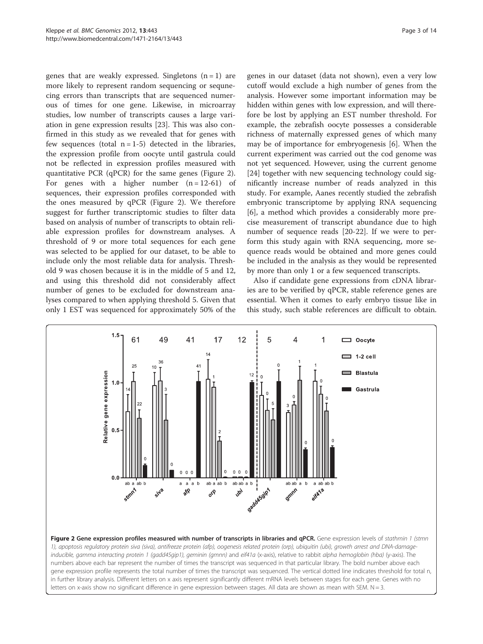<span id="page-2-0"></span>genes that are weakly expressed. Singletons  $(n = 1)$  are more likely to represent random sequencing or sequnecing errors than transcripts that are sequenced numerous of times for one gene. Likewise, in microarray studies, low number of transcripts causes a large variation in gene expression results [\[23](#page-12-0)]. This was also confirmed in this study as we revealed that for genes with few sequences (total  $n = 1-5$ ) detected in the libraries, the expression profile from oocyte until gastrula could not be reflected in expression profiles measured with quantitative PCR (qPCR) for the same genes (Figure 2). For genes with a higher number  $(n = 12-61)$  of sequences, their expression profiles corresponded with the ones measured by qPCR (Figure 2). We therefore suggest for further transcriptomic studies to filter data based on analysis of number of transcripts to obtain reliable expression profiles for downstream analyses. A threshold of 9 or more total sequences for each gene was selected to be applied for our dataset, to be able to include only the most reliable data for analysis. Threshold 9 was chosen because it is in the middle of 5 and 12, and using this threshold did not considerably affect number of genes to be excluded for downstream analyses compared to when applying threshold 5. Given that only 1 EST was sequenced for approximately 50% of the

genes in our dataset (data not shown), even a very low cutoff would exclude a high number of genes from the analysis. However some important information may be hidden within genes with low expression, and will therefore be lost by applying an EST number threshold. For example, the zebrafish oocyte possesses a considerable richness of maternally expressed genes of which many may be of importance for embryogenesis [[6\]](#page-12-0). When the current experiment was carried out the cod genome was not yet sequenced. However, using the current genome [[24\]](#page-12-0) together with new sequencing technology could significantly increase number of reads analyzed in this

number of sequence reads [\[20](#page-12-0)-[22](#page-12-0)]. If we were to perform this study again with RNA sequencing, more sequence reads would be obtained and more genes could be included in the analysis as they would be represented by more than only 1 or a few sequenced transcripts. Also if candidate gene expressions from cDNA librar-

study. For example, Aanes recently studied the zebrafish embryonic transcriptome by applying RNA sequencing [[6\]](#page-12-0), a method which provides a considerably more precise measurement of transcript abundance due to high

ies are to be verified by qPCR, stable reference genes are essential. When it comes to early embryo tissue like in this study, such stable references are difficult to obtain.

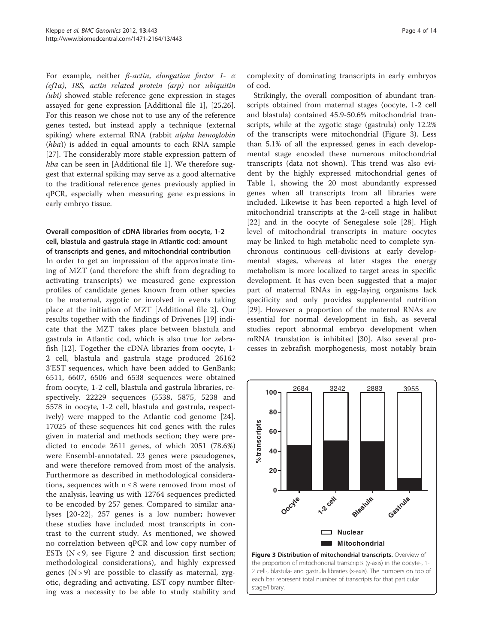For example, neither β-actin, elongation factor 1- α (ef1α), 18S, actin related protein (arp) nor ubiquitin (ubi) showed stable reference gene expression in stages assayed for gene expression [Additional file [1\]](#page-11-0), [\[25,26](#page-12-0)]. For this reason we chose not to use any of the reference genes tested, but instead apply a technique (external spiking) where external RNA (rabbit *alpha hemoglobin* (hba)) is added in equal amounts to each RNA sample [[27\]](#page-12-0). The considerably more stable expression pattern of hba can be seen in [Additional file [1](#page-11-0)]. We therefore suggest that external spiking may serve as a good alternative to the traditional reference genes previously applied in qPCR, especially when measuring gene expressions in early embryo tissue.

# Overall composition of cDNA libraries from oocyte, 1-2 cell, blastula and gastrula stage in Atlantic cod: amount

of transcripts and genes, and mitochondrial contribution In order to get an impression of the approximate timing of MZT (and therefore the shift from degrading to activating transcripts) we measured gene expression profiles of candidate genes known from other species to be maternal, zygotic or involved in events taking place at the initiation of MZT [Additional file [2](#page-11-0)]. Our results together with the findings of Drivenes [\[19](#page-12-0)] indicate that the MZT takes place between blastula and gastrula in Atlantic cod, which is also true for zebrafish [[12\]](#page-12-0). Together the cDNA libraries from oocyte, 1- 2 cell, blastula and gastrula stage produced 26162 3'EST sequences, which have been added to GenBank; 6511, 6607, 6506 and 6538 sequences were obtained from oocyte, 1-2 cell, blastula and gastrula libraries, respectively. 22229 sequences (5538, 5875, 5238 and 5578 in oocyte, 1-2 cell, blastula and gastrula, respectively) were mapped to the Atlantic cod genome [[24](#page-12-0)]. 17025 of these sequences hit cod genes with the rules given in material and methods section; they were predicted to encode 2611 genes, of which 2051 (78.6%) were Ensembl-annotated. 23 genes were pseudogenes, and were therefore removed from most of the analysis. Furthermore as described in methodological considerations, sequences with  $n \leq 8$  were removed from most of the analysis, leaving us with 12764 sequences predicted to be encoded by 257 genes. Compared to similar analyses [\[20](#page-12-0)-[22](#page-12-0)], 257 genes is a low number; however these studies have included most transcripts in contrast to the current study. As mentioned, we showed no correlation between qPCR and low copy number of ESTs  $(N < 9)$ , see Figure [2](#page-2-0) and discussion first section; methodological considerations), and highly expressed genes  $(N > 9)$  are possible to classify as maternal, zygotic, degrading and activating. EST copy number filtering was a necessity to be able to study stability and

complexity of dominating transcripts in early embryos of cod.

Strikingly, the overall composition of abundant transcripts obtained from maternal stages (oocyte, 1-2 cell and blastula) contained 45.9-50.6% mitochondrial transcripts, while at the zygotic stage (gastrula) only 12.2% of the transcripts were mitochondrial (Figure 3). Less than 5.1% of all the expressed genes in each developmental stage encoded these numerous mitochondrial transcripts (data not shown). This trend was also evident by the highly expressed mitochondrial genes of Table [1,](#page-4-0) showing the 20 most abundantly expressed genes when all transcripts from all libraries were included. Likewise it has been reported a high level of mitochondrial transcripts at the 2-cell stage in halibut [[22\]](#page-12-0) and in the oocyte of Senegalese sole [[28\]](#page-12-0). High level of mitochondrial transcripts in mature oocytes may be linked to high metabolic need to complete synchronous continuous cell-divisions at early developmental stages, whereas at later stages the energy metabolism is more localized to target areas in specific development. It has even been suggested that a major part of maternal RNAs in egg-laying organisms lack specificity and only provides supplemental nutrition [[29\]](#page-12-0). However a proportion of the maternal RNAs are essential for normal development in fish, as several studies report abnormal embryo development when mRNA translation is inhibited [[30\]](#page-12-0). Also several processes in zebrafish morphogenesis, most notably brain

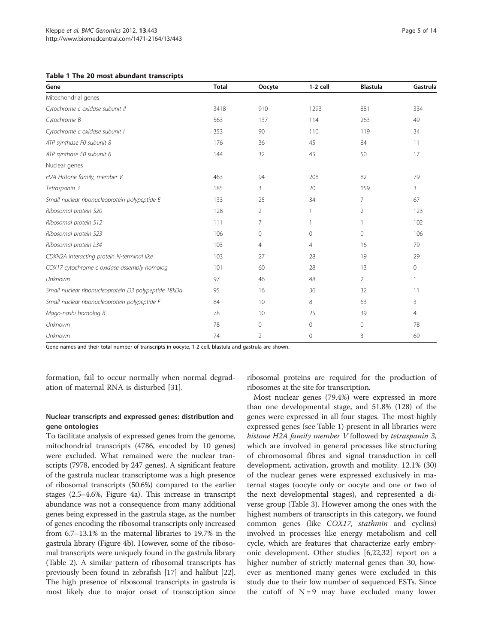#### <span id="page-4-0"></span>Table 1 The 20 most abundant transcripts

| Gene                                                 | <b>Total</b> | Oocyte  | $1-2$ cell   | <b>Blastula</b> | Gastrula |
|------------------------------------------------------|--------------|---------|--------------|-----------------|----------|
| Mitochondrial genes                                  |              |         |              |                 |          |
| Cytochrome c oxidase subunit II                      | 3418         | 910     | 1293         | 881             | 334      |
| Cytochrome B                                         | 563          | 137     | 114          | 263             | 49       |
| Cytochrome c oxidase subunit I                       | 353          | 90      | 110          | 119             | 34       |
| ATP synthase F0 subunit 8                            | 176          | 36      | 45           | 84              | 11       |
| ATP synthase F0 subunit 6                            | 144          | 32      | 45           | 50              | 17       |
| Nuclear genes                                        |              |         |              |                 |          |
| H2A Histone family, member V                         | 463          | 94      | 208          | 82              | 79       |
| Tetraspanin 3                                        | 185          | 3       | 20           | 159             | 3        |
| Small nuclear ribonucleoprotein polypeptide E        | 133          | 25      | 34           | 7               | 67       |
| Ribosomal protein S20                                | 128          | 2       |              | $\overline{2}$  | 123      |
| Ribosomal protein S12                                | 111          | 7       |              | 1               | 102      |
| Ribosomal protein S23                                | 106          | 0       | $\mathbf{0}$ | $\mathbf{0}$    | 106      |
| Ribosomal protein L34                                | 103          | 4       | 4            | 16              | 79       |
| CDKN2A interacting protein N-terminal like           | 103          | 27      | 28           | 19              | 29       |
| COX17 cytochrome c oxidase assembly homolog          | 101          | 60      | 28           | 13              | 0        |
| Unknown                                              | 97           | 46      | 48           | $\overline{2}$  |          |
| Small nuclear ribonucleoprotein D3 polypeptide 18kDa | 95           | 16      | 36           | 32              | 11       |
| Small nuclear ribonucleoprotein polypeptide F        | 84           | 10      | 8            | 63              | 3        |
| Mago-nashi homolog B                                 | 78           | 10      | 25           | 39              | 4        |
| Unknown                                              | 78           | $\circ$ | $\mathbf{0}$ | $\mathbf 0$     | 78       |
| Unknown                                              | 74           | 2       | 0            | 3               | 69       |

Gene names and their total number of transcripts in oocyte, 1-2 cell, blastula and gastrula are shown.

formation, fail to occur normally when normal degradation of maternal RNA is disturbed [\[31](#page-12-0)].

# Nuclear transcripts and expressed genes: distribution and gene ontologies

To facilitate analysis of expressed genes from the genome, mitochondrial transcripts (4786, encoded by 10 genes) were excluded. What remained were the nuclear transcripts (7978, encoded by 247 genes). A significant feature of the gastrula nuclear transcriptome was a high presence of ribosomal transcripts (50.6%) compared to the earlier stages (2.5–4.6%, Figure [4a\)](#page-5-0). This increase in transcript abundance was not a consequence from many additional genes being expressed in the gastrula stage, as the number of genes encoding the ribosomal transcripts only increased from 6.7–13.1% in the maternal libraries to 19.7% in the gastrula library (Figure [4b\)](#page-5-0). However, some of the ribosomal transcripts were uniquely found in the gastrula library (Table [2](#page-6-0)). A similar pattern of ribosomal transcripts has previously been found in zebrafish [[17](#page-12-0)] and halibut [[22](#page-12-0)]. The high presence of ribosomal transcripts in gastrula is most likely due to major onset of transcription since ribosomal proteins are required for the production of ribosomes at the site for transcription.

Most nuclear genes (79.4%) were expressed in more than one developmental stage, and 51.8% (128) of the genes were expressed in all four stages. The most highly expressed genes (see Table 1) present in all libraries were histone H2A family member V followed by tetraspanin 3, which are involved in general processes like structuring of chromosomal fibres and signal transduction in cell development, activation, growth and motility. 12.1% (30) of the nuclear genes were expressed exclusively in maternal stages (oocyte only or oocyte and one or two of the next developmental stages), and represented a diverse group (Table [3\)](#page-6-0). However among the ones with the highest numbers of transcripts in this category, we found common genes (like COX17, stathmin and cyclins) involved in processes like energy metabolism and cell cycle, which are features that characterize early embryonic development. Other studies [[6,22,32\]](#page-12-0) report on a higher number of strictly maternal genes than 30, however as mentioned many genes were excluded in this study due to their low number of sequenced ESTs. Since the cutoff of  $N = 9$  may have excluded many lower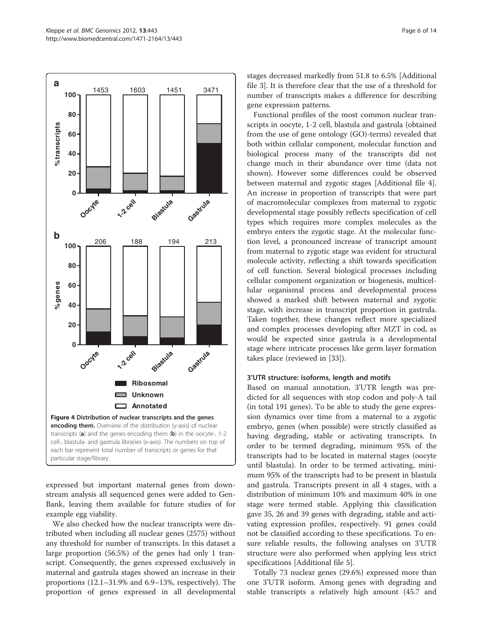<span id="page-5-0"></span>

expressed but important maternal genes from downstream analysis all sequenced genes were added to Gen-Bank, leaving them available for future studies of for example egg viability.

We also checked how the nuclear transcripts were distributed when including all nuclear genes (2575) without any threshold for number of transcripts. In this dataset a large proportion (56.5%) of the genes had only 1 transcript. Consequently, the genes expressed exclusively in maternal and gastrula stages showed an increase in their proportions (12.1–31.9% and 6.9–13%, respectively). The proportion of genes expressed in all developmental stages decreased markedly from 51.8 to 6.5% [Additional file [3](#page-11-0)]. It is therefore clear that the use of a threshold for number of transcripts makes a difference for describing gene expression patterns.

Functional profiles of the most common nuclear transcripts in oocyte, 1-2 cell, blastula and gastrula (obtained from the use of gene ontology (GO)-terms) revealed that both within cellular component, molecular function and biological process many of the transcripts did not change much in their abundance over time (data not shown). However some differences could be observed between maternal and zygotic stages [Additional file [4](#page-11-0)]. An increase in proportion of transcripts that were part of macromolecular complexes from maternal to zygotic developmental stage possibly reflects specification of cell types which requires more complex molecules as the embryo enters the zygotic stage. At the molecular function level, a pronounced increase of transcript amount from maternal to zygotic stage was evident for structural molecule activity, reflecting a shift towards specification of cell function. Several biological processes including cellular component organization or biogenesis, multicellular organismal process and developmental process showed a marked shift between maternal and zygotic stage, with increase in transcript proportion in gastrula. Taken together, these changes reflect more specialized and complex processes developing after MZT in cod, as would be expected since gastrula is a developmental stage where intricate processes like germ layer formation takes place (reviewed in [[33](#page-12-0)]).

#### 3'UTR structure: isoforms, length and motifs

Based on manual annotation, 3'UTR length was predicted for all sequences with stop codon and poly-A tail (in total 191 genes). To be able to study the gene expression dynamics over time from a maternal to a zygotic embryo, genes (when possible) were strictly classified as having degrading, stable or activating transcripts. In order to be termed degrading, minimum 95% of the transcripts had to be located in maternal stages (oocyte until blastula). In order to be termed activating, minimum 95% of the transcripts had to be present in blastula and gastrula. Transcripts present in all 4 stages, with a distribution of minimum 10% and maximum 40% in one stage were termed stable. Applying this classification gave 35, 26 and 39 genes with degrading, stable and activating expression profiles, respectively. 91 genes could not be classified according to these specifications. To ensure reliable results, the following analyses on 3'UTR structure were also performed when applying less strict specifications [Additional file [5\]](#page-11-0).

Totally 73 nuclear genes (29.6%) expressed more than one 3'UTR isoform. Among genes with degrading and stable transcripts a relatively high amount (45.7 and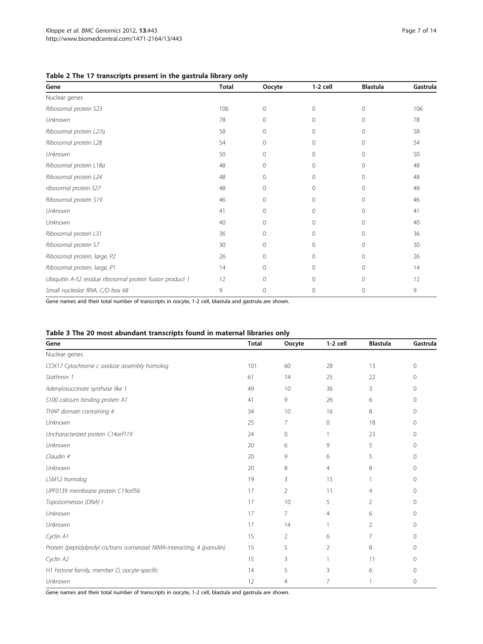<span id="page-6-0"></span>

| Table 2 The 17 transcripts present in the gastrula library only |  |  |  |  |
|-----------------------------------------------------------------|--|--|--|--|
|-----------------------------------------------------------------|--|--|--|--|

| Gene                                                      | <b>Total</b> | Oocyte       | $1-2$ cell   | <b>Blastula</b> | Gastrula |
|-----------------------------------------------------------|--------------|--------------|--------------|-----------------|----------|
| Nuclear genes                                             |              |              |              |                 |          |
| Ribosomal protein S23                                     | 106          | $\circ$      | $\circ$      | $\mathbf 0$     | 106      |
| Unknown                                                   | 78           | 0            | $\mathbf{0}$ | 0               | 78       |
| Ribosomal protein L27a                                    | 58           | $\mathbf{0}$ | $\mathbf 0$  | $\mathbf 0$     | 58       |
| Ribosomal protein L28                                     | 54           | $\mathbf{0}$ | $\circ$      | 0               | 54       |
| Unknown                                                   | 50           | $\mathbf{0}$ | $\circ$      | 0               | 50       |
| Ribosomal protein L18a                                    | 48           | 0            | $\circ$      | 0               | 48       |
| Ribosomal protein L24                                     | 48           | 0            | $\circ$      | 0               | 48       |
| ribosomal protein S27                                     | 48           | 0            | $\Omega$     | 0               | 48       |
| Ribosomal protein S19                                     | 46           | 0            | $\circ$      | $\mathbf{0}$    | 46       |
| Unknown                                                   | 41           | 0            | $\circ$      | 0               | 41       |
| Unknown                                                   | 40           | 0            | $\circ$      | 0               | 40       |
| Ribosomal protein L31                                     | 36           | $\mathbf{0}$ | $\circ$      | $\mathbf{0}$    | 36       |
| Ribosomal protein S7                                      | 30           | $\mathbf{0}$ | $\circ$      | $\mathbf{0}$    | 30       |
| Ribosomal protein, large, P2                              | 26           | $\mathbf{0}$ | $\circ$      | $\mathbf{0}$    | 26       |
| Ribosomal protein, large, P1                              | 14           | 0            | $\circ$      | $\mathbf{0}$    | 14       |
| Ubiquitin A-52 residue ribosomal protein fusion product 1 | 12           | 0            | $\circ$      | $\mathbf{0}$    | 12       |
| Small nucleolar RNA, C/D box 68                           | 9            | $\mathbf{0}$ | $\mathbf{0}$ | 0               | 9        |

Gene names and their total number of transcripts in oocyte, 1-2 cell, blastula and gastrula are shown.

| Table 3 The 20 most abundant transcripts found in maternal libraries only |  |
|---------------------------------------------------------------------------|--|
|---------------------------------------------------------------------------|--|

| Gene                                                                        | <b>Total</b> | Oocyte         | 1-2 cell       | <b>Blastula</b> | Gastrula     |
|-----------------------------------------------------------------------------|--------------|----------------|----------------|-----------------|--------------|
| Nuclear genes                                                               |              |                |                |                 |              |
| COX17 Cytochrome c oxidase assembly homolog                                 | 101          | 60             | 28             | 13              | $\mathbf 0$  |
| Stathmin 1                                                                  | 61           | 14             | 25             | 22              | $\mathbf{0}$ |
| Adenylosuccinate synthase like 1                                            | 49           | 10             | 36             | 3               | $\mathbf{0}$ |
| S100 calcium binding protein A1                                             | 41           | 9              | 26             | 6               | $\Omega$     |
| THAP domain containing 4                                                    | 34           | 10             | 16             | 8               | $\mathbf{0}$ |
| Unknown                                                                     | 25           | 7              | $\mathbf{0}$   | 18              | $\mathbf{0}$ |
| Uncharacterized protein C14orf119                                           | 24           | $\Omega$       |                | 23              | $\Omega$     |
| Unknown                                                                     | 20           | 6              | 9              | 5               | $\Omega$     |
| Claudin 4                                                                   | 20           | 9              | 6              | 5               | $\mathbf{0}$ |
| Unknown                                                                     | 20           | 8              | 4              | 8               | $\Omega$     |
| LSM12 homolog                                                               | 19           | 3              | 15             |                 | $\mathbf{0}$ |
| UPF0139 membrane protein C19orf56                                           | 17           | $\overline{2}$ | 11             | 4               | $\mathbf{0}$ |
| Topoisomerase (DNA) I                                                       | 17           | 10             | 5              | 2               | $\Omega$     |
| Unknown                                                                     | 17           | 7              | $\overline{4}$ | 6               | $\mathbf{0}$ |
| Unknown                                                                     | 17           | 14             | $\mathbf{1}$   | 2               | $\mathbf{0}$ |
| Cyclin A1                                                                   | 15           | 2              | 6              | 7               | 0            |
| Protein (peptidylprolyl cis/trans isomerase) NIMA-interacting, 4 (parvulin) | 15           | 5              | $\overline{2}$ | 8               | $\Omega$     |
| Cyclin A2                                                                   | 15           | 3              |                | 11              | $\mathbf{0}$ |
| H1 histone family, member O, oocyte-specific                                | 14           | 5              | 3              | 6               | 0            |
| Unknown                                                                     | 12           | $\overline{4}$ | 7              |                 | 0            |

Gene names and their total number of transcripts in oocyte, 1-2 cell, blastula and gastrula are shown.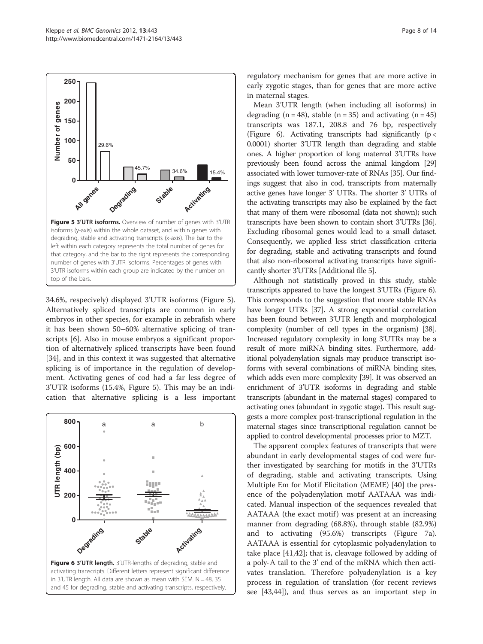

34.6%, respecively) displayed 3'UTR isoforms (Figure 5). Alternatively spliced transcripts are common in early embryos in other species, for example in zebrafish where it has been shown 50–60% alternative splicing of transcripts [\[6\]](#page-12-0). Also in mouse embryos a significant proportion of alternatively spliced transcripts have been found [[34\]](#page-12-0), and in this context it was suggested that alternative splicing is of importance in the regulation of development. Activating genes of cod had a far less degree of 3'UTR isoforms (15.4%, Figure 5). This may be an indication that alternative splicing is a less important



regulatory mechanism for genes that are more active in early zygotic stages, than for genes that are more active in maternal stages.

Mean 3'UTR length (when including all isoforms) in degrading  $(n = 48)$ , stable  $(n = 35)$  and activating  $(n = 45)$ transcripts was 187.1, 208.8 and 76 bp, respectively (Figure 6). Activating transcripts had significantly  $(p <$ 0.0001) shorter 3'UTR length than degrading and stable ones. A higher proportion of long maternal 3'UTRs have previously been found across the animal kingdom [\[29](#page-12-0)] associated with lower turnover-rate of RNAs [\[35\]](#page-12-0). Our findings suggest that also in cod, transcripts from maternally active genes have longer 3' UTRs. The shorter 3' UTRs of the activating transcripts may also be explained by the fact that many of them were ribosomal (data not shown); such transcripts have been shown to contain short 3'UTRs [\[36](#page-12-0)]. Excluding ribosomal genes would lead to a small dataset. Consequently, we applied less strict classification criteria for degrading, stable and activating transcripts and found that also non-ribosomal activating transcripts have significantly shorter 3'UTRs [Additional file [5](#page-11-0)].

Although not statistically proved in this study, stable transcripts appeared to have the longest 3'UTRs (Figure 6). This corresponds to the suggestion that more stable RNAs have longer UTRs [[37](#page-12-0)]. A strong exponential correlation has been found between 3'UTR length and morphological complexity (number of cell types in the organism) [\[38](#page-12-0)]. Increased regulatory complexity in long 3'UTRs may be a result of more miRNA binding sites. Furthermore, additional polyadenylation signals may produce transcript isoforms with several combinations of miRNA binding sites, which adds even more complexity [\[39\]](#page-12-0). It was observed an enrichment of 3'UTR isoforms in degrading and stable transcripts (abundant in the maternal stages) compared to activating ones (abundant in zygotic stage). This result suggests a more complex post-transcriptional regulation in the maternal stages since transcriptional regulation cannot be applied to control developmental processes prior to MZT.

The apparent complex features of transcripts that were abundant in early developmental stages of cod were further investigated by searching for motifs in the 3'UTRs of degrading, stable and activating transcripts. Using Multiple Em for Motif Elicitation (MEME) [[40\]](#page-12-0) the presence of the polyadenylation motif AATAAA was indicated. Manual inspection of the sequences revealed that AATAAA (the exact motif) was present at an increasing manner from degrading (68.8%), through stable (82.9%) and to activating (95.6%) transcripts (Figure [7a](#page-8-0)). AATAAA is essential for cytoplasmic polyadenylation to take place [[41,42\]](#page-13-0); that is, cleavage followed by adding of a poly-A tail to the 3' end of the mRNA which then activates translation. Therefore polyadenylation is a key process in regulation of translation (for recent reviews see [[43](#page-13-0),[44](#page-13-0)]), and thus serves as an important step in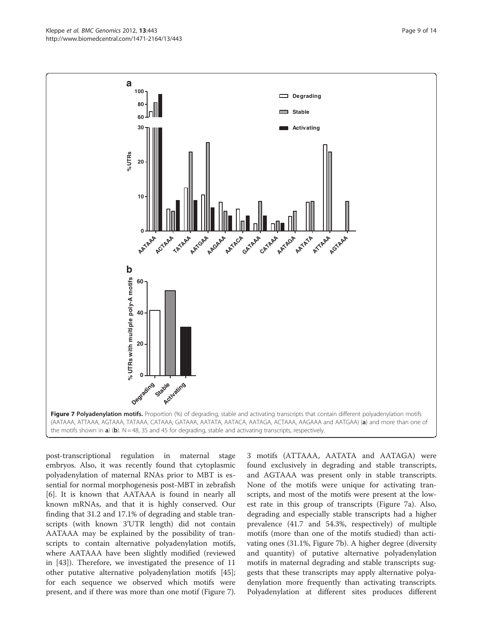post-transcriptional regulation in maternal stage embryos. Also, it was recently found that cytoplasmic polyadenylation of maternal RNAs prior to MBT is essential for normal morphogenesis post-MBT in zebrafish [[6\]](#page-12-0). It is known that AATAAA is found in nearly all known mRNAs, and that it is highly conserved. Our finding that 31.2 and 17.1% of degrading and stable transcripts (with known 3'UTR length) did not contain AATAAA may be explained by the possibility of transcripts to contain alternative polyadenylation motifs, where AATAAA have been slightly modified (reviewed in [\[43](#page-13-0)]). Therefore, we investigated the presence of 11 other putative alternative polyadenylation motifs [\[45](#page-13-0)]; for each sequence we observed which motifs were present, and if there was more than one motif (Figure 7).

3 motifs (ATTAAA, AATATA and AATAGA) were found exclusively in degrading and stable transcripts, and AGTAAA was present only in stable transcripts. None of the motifs were unique for activating transcripts, and most of the motifs were present at the lowest rate in this group of transcripts (Figure 7a). Also, degrading and especially stable transcripts had a higher prevalence (41.7 and 54.3%, respectively) of multiple motifs (more than one of the motifs studied) than activating ones (31.1%, Figure 7b). A higher degree (diversity and quantity) of putative alternative polyadenylation motifs in maternal degrading and stable transcripts suggests that these transcripts may apply alternative polyadenylation more frequently than activating transcripts. Polyadenylation at different sites produces different



**% UTRs**

<span id="page-8-0"></span>**a**

**AATAAA**

**0**

**10**

**20**

ACTAAA

**TATAAA**

**AATGAA**

**AAGAAA**

AATACA

**GATAAA**

**CATAAA**

**AATAGA**

**AATATA**

Degrading **Stable**

**Activating**

**ATTAAA**

AGTAAA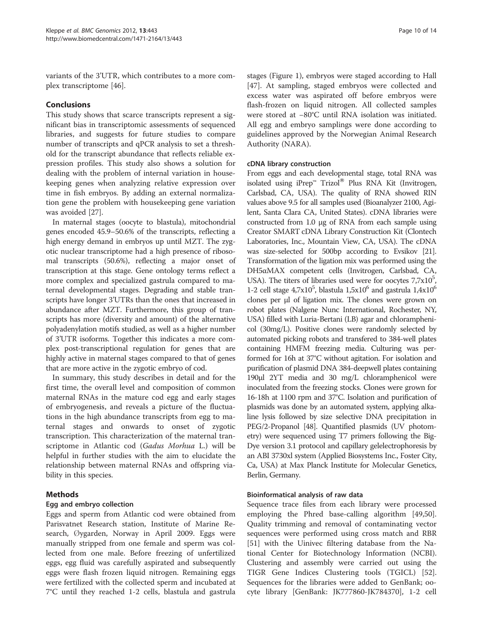variants of the 3'UTR, which contributes to a more complex transcriptome [[46\]](#page-13-0).

# Conclusions

This study shows that scarce transcripts represent a significant bias in transcriptomic assessments of sequenced libraries, and suggests for future studies to compare number of transcripts and qPCR analysis to set a threshold for the transcript abundance that reflects reliable expression profiles. This study also shows a solution for dealing with the problem of internal variation in housekeeping genes when analyzing relative expression over time in fish embryos. By adding an external normalization gene the problem with housekeeping gene variation was avoided [\[27\]](#page-12-0).

In maternal stages (oocyte to blastula), mitochondrial genes encoded 45.9–50.6% of the transcripts, reflecting a high energy demand in embryos up until MZT. The zygotic nuclear transcriptome had a high presence of ribosomal transcripts (50.6%), reflecting a major onset of transcription at this stage. Gene ontology terms reflect a more complex and specialized gastrula compared to maternal developmental stages. Degrading and stable transcripts have longer 3'UTRs than the ones that increased in abundance after MZT. Furthermore, this group of transcripts has more (diversity and amount) of the alternative polyadenylation motifs studied, as well as a higher number of 3'UTR isoforms. Together this indicates a more complex post-transcriptional regulation for genes that are highly active in maternal stages compared to that of genes that are more active in the zygotic embryo of cod.

In summary, this study describes in detail and for the first time, the overall level and composition of common maternal RNAs in the mature cod egg and early stages of embryogenesis, and reveals a picture of the fluctuations in the high abundance transcripts from egg to maternal stages and onwards to onset of zygotic transcription. This characterization of the maternal transcriptome in Atlantic cod (Gadus Morhua L.) will be helpful in further studies with the aim to elucidate the relationship between maternal RNAs and offspring viability in this species.

## Methods

## Egg and embryo collection

Eggs and sperm from Atlantic cod were obtained from Parisvatnet Research station, Institute of Marine Research, Øygarden, Norway in April 2009. Eggs were manually stripped from one female and sperm was collected from one male. Before freezing of unfertilized eggs, egg fluid was carefully aspirated and subsequently eggs were flash frozen liquid nitrogen. Remaining eggs were fertilized with the collected sperm and incubated at 7°C until they reached 1-2 cells, blastula and gastrula

stages (Figure [1](#page-1-0)), embryos were staged according to Hall [[47\]](#page-13-0). At sampling, staged embryos were collected and excess water was aspirated off before embryos were flash-frozen on liquid nitrogen. All collected samples were stored at −80°C until RNA isolation was initiated. All egg and embryo samplings were done according to guidelines approved by the Norwegian Animal Research Authority (NARA).

## cDNA library construction

From eggs and each developmental stage, total RNA was isolated using iPrep<sup>™</sup> Trizol® Plus RNA Kit (Invitrogen, Carlsbad, CA, USA). The quality of RNA showed RIN values above 9.5 for all samples used (Bioanalyzer 2100, Agilent, Santa Clara CA, United States). cDNA libraries were constructed from 1.0 μg of RNA from each sample using Creator SMART cDNA Library Construction Kit (Clontech Laboratories, Inc., Mountain View, CA, USA). The cDNA was size-selected for 500bp according to Evsikov [\[21](#page-12-0)]. Transformation of the ligation mix was performed using the DH5αMAX competent cells (Invitrogen, Carlsbad, CA, USA). The titers of libraries used were for oocytes  $7,7x10^5$ , 1-2 cell stage 4,7x10<sup>5</sup>, blastula 1,5x10<sup>6</sup> and gastrula 1,4x10<sup>6</sup> clones per μl of ligation mix. The clones were grown on robot plates (Nalgene Nunc International, Rochester, NY, USA) filled with Luria-Bertani (LB) agar and chloramphenicol (30mg/L). Positive clones were randomly selected by automated picking robots and transfered to 384-well plates containing HMFM freezing media. Culturing was performed for 16h at 37°C without agitation. For isolation and purification of plasmid DNA 384-deepwell plates containing 190μl 2YT media and 30 mg/L chloramphenicol were inoculated from the freezing stocks. Clones were grown for 16-18h at 1100 rpm and 37°C. Isolation and purification of plasmids was done by an automated system, applying alkaline lysis followed by size selective DNA precipitation in PEG/2-Propanol [\[48\]](#page-13-0). Quantified plasmids (UV photometry) were sequenced using T7 primers following the Big-Dye version 3.1 protocol and capillary gelelectrophoresis by an ABI 3730xl system (Applied Biosystems Inc., Foster City, Ca, USA) at Max Planck Institute for Molecular Genetics, Berlin, Germany.

## Bioinformatical analysis of raw data

Sequence trace files from each library were processed employing the Phred base-calling algorithm [\[49,50](#page-13-0)]. Quality trimming and removal of contaminating vector sequences were performed using cross match and RBR [[51\]](#page-13-0) with the Uinivec filtering database from the National Center for Biotechnology Information (NCBI). Clustering and assembly were carried out using the TIGR Gene Indices Clustering tools (TGICL) [\[52](#page-13-0)]. Sequences for the libraries were added to GenBank; oocyte library [GenBank: JK777860-JK784370], 1-2 cell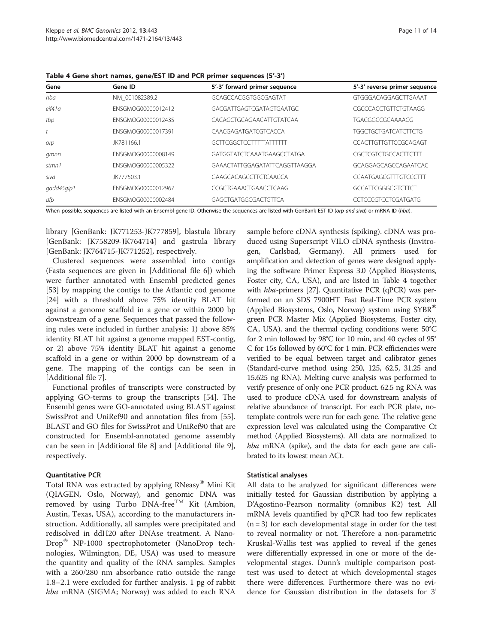| Gene       | Gene ID            | 5'-3' forward primer sequence | 5'-3' reverse primer sequence |
|------------|--------------------|-------------------------------|-------------------------------|
| hba        | NM 001082389.2     | GCAGCCACGGTGGCGAGTAT          | GTGGGACAGGAGCTTGAAAT          |
| eif41a     | FNSGMOG00000012412 | GACGATTGAGTCGATAGTGAATGC      | CGCCCACCTGTTCTGTAAGG          |
| tbp        | FNSGMOG00000012435 | CACAGCTGCAGAACATTGTATCAA      | TGACGGCCGCAAAACG              |
|            | FNSGMOG00000017391 | CAACGAGATGATCGTCACCA          | <b>TGGCTGCTGATCATCTTCTG</b>   |
| orp        | JK781166.1         | GCITCGGCTCCTTTTTATTTTT        | CCACTTGTTGTTCCGCAGAGT         |
| gmnn       | FNSGMOG00000008149 | GATGGTATCTCAAATGAAGCCTATGA    | CGCTCGTCTGCCACTTCTTT          |
| stmn1      | ENSGMOG00000005322 | GAAACTATTGGAGATATTCAGGTTAAGGA | GCAGGAGCAGCCAGAATCAC          |
| siva       | JK777503.1         | GAAGCACAGCCITCTCAACCA         | CCAATGAGCGTTTGTCCCTTT         |
| qadd45qip1 | FNSGMOG00000012967 | CCGCTGAAACTGAACCTCAAG         | GCCATTCGGGCGTCTTCT            |
| afp        | FNSGMOG00000002484 | GAGCTGATGGCGACTGTTCA          | CCTCCCGTCCTCGATGATG           |

Table 4 Gene short names, gene/EST ID and PCR primer sequences (5'-3')

When possible, sequences are listed with an Ensembl gene ID. Otherwise the sequences are listed with GenBank EST ID (orp and siva) or mRNA ID (hba).

library [GenBank: JK771253-JK777859], blastula library [GenBank: JK758209-JK764714] and gastrula library [GenBank: JK764715-JK771252], respectively.

Clustered sequences were assembled into contigs (Fasta sequences are given in [Additional file [6\]](#page-11-0)) which were further annotated with Ensembl predicted genes [[53\]](#page-13-0) by mapping the contigs to the Atlantic cod genome [[24\]](#page-12-0) with a threshold above 75% identity BLAT hit against a genome scaffold in a gene or within 2000 bp downstream of a gene. Sequences that passed the following rules were included in further analysis: 1) above 85% identity BLAT hit against a genome mapped EST-contig, or 2) above 75% identity BLAT hit against a genome scaffold in a gene or within 2000 bp downstream of a gene. The mapping of the contigs can be seen in [Additional file [7](#page-11-0)].

Functional profiles of transcripts were constructed by applying GO-terms to group the transcripts [\[54](#page-13-0)]. The Ensembl genes were GO-annotated using BLAST against SwissProt and UniRef90 and annotation files from [\[55](#page-13-0)]. BLAST and GO files for SwissProt and UniRef90 that are constructed for Ensembl-annotated genome assembly can be seen in [Additional file [8](#page-11-0)] and [Additional file [9](#page-11-0)], respectively.

#### Quantitative PCR

Total RNA was extracted by applying RNeasy® Mini Kit (QIAGEN, Oslo, Norway), and genomic DNA was removed by using Turbo DNA-free<sup>TM</sup> Kit (Ambion, Austin, Texas, USA), according to the manufacturers instruction. Additionally, all samples were precipitated and redisolved in ddH20 after DNAse treatment. A Nano-Drop<sup>®</sup> NP-1000 spectrophotometer (NanoDrop technologies, Wilmington, DE, USA) was used to measure the quantity and quality of the RNA samples. Samples with a 260/280 nm absorbance ratio outside the range 1.8–2.1 were excluded for further analysis. 1 pg of rabbit hba mRNA (SIGMA; Norway) was added to each RNA sample before cDNA synthesis (spiking). cDNA was produced using Superscript VILO cDNA synthesis (Invitrogen, Carlsbad, Germany). All primers used for amplification and detection of genes were designed applying the software Primer Express 3.0 (Applied Biosystems, Foster city, CA, USA), and are listed in Table 4 together with *hba-*primers [[27\]](#page-12-0). Quantitative PCR (qPCR) was performed on an SDS 7900HT Fast Real-Time PCR system (Applied Biosystems, Oslo, Norway) system using  $SYBR^®$ green PCR Master Mix (Applied Biosystems, Foster city, CA, USA), and the thermal cycling conditions were: 50°C for 2 min followed by 98°C for 10 min, and 40 cycles of 95° C for 15s followed by 60°C for 1 min. PCR efficiencies were verified to be equal between target and calibrator genes (Standard-curve method using 250, 125, 62.5, 31.25 and 15.625 ng RNA). Melting curve analysis was performed to verify presence of only one PCR product. 62.5 ng RNA was used to produce cDNA used for downstream analysis of relative abundance of transcript. For each PCR plate, notemplate controls were run for each gene. The relative gene expression level was calculated using the Comparative Ct method (Applied Biosystems). All data are normalized to hba mRNA (spike), and the data for each gene are calibrated to its lowest mean ΔCt.

#### Statistical analyses

All data to be analyzed for significant differences were initially tested for Gaussian distribution by applying a D'Agostino-Pearson normality (omnibus K2) test. All mRNA levels quantified by qPCR had too few replicates  $(n = 3)$  for each developmental stage in order for the test to reveal normality or not. Therefore a non-parametric Kruskal-Wallis test was applied to reveal if the genes were differentially expressed in one or more of the developmental stages. Dunn's multiple comparison posttest was used to detect at which developmental stages there were differences. Furthermore there was no evidence for Gaussian distribution in the datasets for 3'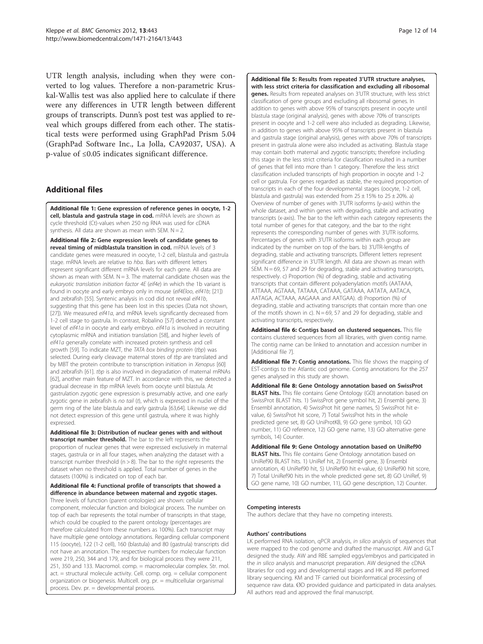<span id="page-11-0"></span>UTR length analysis, including when they were converted to log values. Therefore a non-parametric Kruskal-Wallis test was also applied here to calculate if there were any differences in UTR length between different groups of transcripts. Dunn's post test was applied to reveal which groups differed from each other. The statistical tests were performed using GraphPad Prism 5.04 (GraphPad Software Inc., La Jolla, CA92037, USA). A p-value of ≤0.05 indicates significant difference.

# Additional files

[Additional file 1:](http://www.biomedcentral.com/content/supplementary/1471-2164-13-443-S1.pdf) Gene expression of reference genes in oocyte, 1-2 cell, blastula and gastrula stage in cod. mRNA levels are shown as cycle threshold (Ct)-values when 250 ng RNA was used for cDNA synthesis. All data are shown as mean with SEM.  $N = 2$ .

[Additional file 2:](http://www.biomedcentral.com/content/supplementary/1471-2164-13-443-S2.pdf) Gene expression levels of candidate genes to reveal timing of midblastula transition in cod. mRNA levels of 3 candidate genes were measured in oocyte, 1-2 cell, blastula and gastrula stage. mRNA levels are relative to hba. Bars with different letters represent significant different mRNA levels for each gene. All data are shown as mean with SEM.  $N = 3$ . The maternal candidate chosen was the eukaryotic translation initiation factor 4E (eif4e) in which the 1b variant is found in oocyte and early embryo only in mouse (eif4Eloo, eif41b; [21]) and zebrafish [55]. Syntenic analysis in cod did not reveal eif41b, suggesting that this gene has been lost in this species (Data not shown, [27]). We measured eif41a, and mRNA levels significantly decreased from 1-2 cell stage to gastrula. In contrast, Robalino [57] detected a constant level of eif41a in oocyte and early embryo. eif41a is involved in recruiting cytoplasmic mRNA and initiation translation [58], and higher levels of eif41a generally correlate with increased protein synthesis and cell growth [59]. To indicate MZT, the TATA box binding protein (tbp) was selected. During early cleavage maternal stores of tbp are translated and by MBT the protein contribute to transcription initiation in Xenopus [60] and zebrafish [61]. tbp is also involved in degradation of maternal mRNAs [62], another main feature of MZT. In accordance with this, we detected a gradual decrease in tbp mRNA levels from oocyte until blastula. At gastrulation zygotic gene expression is presumably active, and one early zygotic gene in zebrafish is no tail (t), which is expressed in nuclei of the germ ring of the late blastula and early gastrula [63,64]. Likewise we did not detect expression of this gene until gastrula, where it was highly expressed.

[Additional file 3:](http://www.biomedcentral.com/content/supplementary/1471-2164-13-443-S3.pdf) Distribution of nuclear genes with and without transcript number threshold. The bar to the left represents the proportion of nuclear genes that were expressed exclusively in maternal stages, gastrula or in all four stages, when analyzing the dataset with a transcript number threshold ( $n > 8$ ). The bar to the right represents the dataset when no threshold is applied. Total number of genes in the datasets (100%) is indicated on top of each bar.

[Additional file 4:](http://www.biomedcentral.com/content/supplementary/1471-2164-13-443-S4.pdf) Functional profile of transcripts that showed a difference in abundance between maternal and zygotic stages. Three levels of function (parent ontologies) are shown: cellular component, molecular function and biological process. The number on top of each bar represents the total number of transcripts in that stage, which could be coupled to the parent ontology (percentages are therefore calculated from these numbers as 100%). Each transcript may have multiple gene ontology annotations. Regarding cellular component 115 (oocyte), 122 (1-2 cell), 160 (blastula) and 80 (gastrula) transcripts did not have an annotation. The respective numbers for molecular function were 219, 250, 344 and 179, and for biological process they were 211, 251, 350 and 133. Macromol. comp. = macromolecular complex. Str. mol. act. = structural molecule activity. Cell. comp. org. = cellular component organization or biogenesis. Multicell. org. pr. = multicellular organismal process. Dev. pr. = developmental process.

[Additional file 5:](http://www.biomedcentral.com/content/supplementary/1471-2164-13-443-S5.pdf) Results from repeated 3'UTR structure analyses, with less strict criteria for classification and excluding all ribosomal genes. Results from repeated analyses on 3'UTR structure, with less strict classification of gene groups and excluding all ribosomal genes. In addition to genes with above 95% of transcripts present in oocyte until blastula stage (original analysis), genes with above 70% of transcripts present in oocyte and 1-2 cell were also included as degrading. Likewise, in addition to genes with above 95% of transcripts present in blastula and gastrula stage (original analysis), genes with above 70% of transcripts present in gastrula alone were also included as activating. Blastula stage may contain both maternal and zygotic transcripts; therefore including this stage in the less strict criteria for classification resulted in a number of genes that fell into more than 1 category. Therefore the less strict classification included transcripts of high proportion in oocyte and 1-2 cell or gastrula. For genes regarded as stable, the required proportion of transcripts in each of the four developmental stages (oocyte, 1-2 cell, blastula and gastrula) was extended from  $25 \pm 15$ % to  $25 \pm 20$ % a) Overview of number of genes with 3'UTR isoforms (y-axis) within the whole dataset, and within genes with degrading, stable and activating transcripts (x-axis). The bar to the left within each category represents the total number of genes for that category, and the bar to the right represents the corresponding number of genes with 3'UTR isoforms. Percentages of genes with 3'UTR isoforms within each group are indicated by the number on top of the bars. b) 3'UTR-lengths of degrading, stable and activating transcripts. Different letters represent significant difference in 3'UTR length. All data are shown as mean with SEM. N = 69, 57 and 29 for degrading, stable and activating transcripts, respectively. c) Proportion (%) of degrading, stable and activating transcripts that contain different polyadenylation motifs (AATAAA, ATTAAA, AGTAAA, TATAAA, CATAAA, GATAAA, AATATA, AATACA, AATAGA, ACTAAA, AAGAAA and AATGAA). d) Proportion (%) of degrading, stable and activating transcripts that contain more than one of the motifs shown in c).  $N = 69$ , 57 and 29 for degrading, stable and activating transcripts, respectively.

[Additional file 6:](http://www.biomedcentral.com/content/supplementary/1471-2164-13-443-S6.xls) Contigs based on clustered sequences. This file contains clustered sequences from all libraries, with given contig name. The contig name can be linked to annotation and accession number in [Additional file 7].

[Additional file 7:](http://www.biomedcentral.com/content/supplementary/1471-2164-13-443-S7.xls) Contig annotations. This file shows the mapping of EST-contigs to the Atlantic cod genome. Contig annotations for the 257 genes analysed in this study are shown.

[Additional file 8:](http://www.biomedcentral.com/content/supplementary/1471-2164-13-443-S8.csv) Gene Ontology annotation based on SwissProt **BLAST hits.** This file contains Gene Ontology (GO) annotation based on SwissProt BLAST hits. 1) SwissProt gene symbol hit, 2) Ensembl gene, 3) Ensembl annotation, 4) SwissProt hit gene names, 5) SwissProt hit evalue, 6) SwissProt hit score, 7) Total SwissProt hits in the whole predicted gene set, 8) GO UniProtKB, 9) GO gene symbol, 10) GO number, 11) GO reference, 12) GO gene name, 13) GO alternative gene symbols, 14) Counter.

[Additional file 9:](http://www.biomedcentral.com/content/supplementary/1471-2164-13-443-S9.csv) Gene Ontology annotation based on UniRef90 **BLAST hits.** This file contains Gene Ontology annotation based on UniRef90 BLAST hits. 1) UniRef hit, 2) Ensembl gene, 3) Ensembl annotation, 4) UniRef90 hit, 5) UniRef90 hit e-value, 6) UniRef90 hit score, 7) Total UniRef90 hits in the whole predicted gene set, 8) GO UniRef, 9) GO gene name, 10) GO number, 11), GO gene description, 12) Counter.

#### Competing interests

The authors declare that they have no competing interests.

#### Authors' contributions

LK performed RNA isolation, qPCR analysis, in silico analysis of sequences that were mapped to the cod genome and drafted the manuscript. AW and GLT designed the study. AW and RBE sampled eggs/embryos and participated in the in silico analysis and manuscript preparation. AW designed the cDNA libraries for cod egg and developmental stages and HK and RR performed library sequencing. KM and TF carried out bioinformatical processing of sequence raw data. ØD provided guidance and participated in data analyses. All authors read and approved the final manuscript.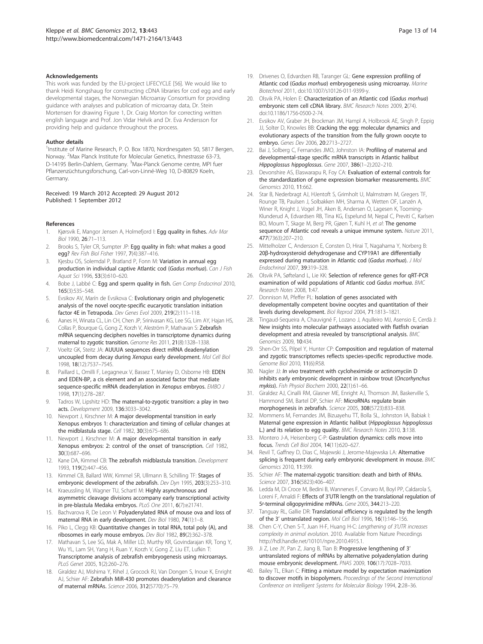#### <span id="page-12-0"></span>Acknowledgements

This work was funded by the EU-project LIFECYCLE [56]. We would like to thank Heidi Kongshaug for constructing cDNA libraries for cod egg and early developmental stages, the Norwegian Microarray Consortium for providing guidance with analyses and publication of microarray data, Dr. Stein Mortensen for drawing Figure 1, Dr. Craig Morton for correcting written english language and Prof. Jon Vidar Helvik and Dr. Eva Andersson for providing help and guidance throughout the process.

#### Author details

<sup>1</sup>Institute of Marine Research, P. O. Box 1870, Nordnesgaten 50, 5817 Bergen, Norway. <sup>2</sup>Max Planck Institute for Molecular Genetics, Ihnestrasse 63-73, D-14195 Berlin-Dahlem, Germany. <sup>3</sup>Max-Planck Genome centre, MPI fuer Pflanzenzüchtungsforschung, Carl-von-Linné-Weg 10, D-80829 Koeln, Germany.

#### Received: 19 March 2012 Accepted: 29 August 2012 Published: 1 September 2012

#### References

- Kjørsvik E, Mangor Jensen A, Holmefjord I: Egg quality in fishes. Adv Mar Biol 1990, 26:71–113.
- Brooks S, Tyler CR, Sumpter JP: Egg quality in fish: what makes a good egg? Rev Fish Biol Fisher 1997, 7(4):387–416.
- 3. Kjesbu OS, Solemdal P, Bratland P, Fonn M: Variation in annual egg production in individual captive Atlantic cod (Gadus morhua). Can J Fish Aquat Sci 1996, 53(3):610–620.
- 4. Bobe J, Labbé C: Egg and sperm quality in fish. Gen Comp Endocrinol 2010, 165(3):535–548.
- Evsikov AV, Marín de Evsikova C: Evolutionary origin and phylogenetic analysis of the novel oocyte-specific eucaryotic translation initiation factor 4E in Tetrapoda. Dev Genes Evol 2009, 219(2):111–118.
- 6. Aanes H, Winata CL, Lin CH, Chen JP, Srinivasan KG, Lee SG, Lim AY, Hajan HS, Collas P, Bourque G, Gong Z, Korzh V, Aleström P, Mathavan S: Zebrafish mRNA sequencing deciphers novelties in transcriptome dynamics during maternal to zygotic transition. Genome Res 2011, 21(8):1328–1338.
- 7. Voeltz GK, Steitz JA: AUUUA sequences direct mRNA deadenylation uncoupled from decay during Xenopus early development. Mol Cell Biol 1998, 18(12):7537–7545.
- 8. Paillard L, Omilli F, Legagneux V, Bassez T, Maniey D, Osborne HB: EDEN and EDEN-BP, a cis element and an associated factor that mediate sequence-specific mRNA deadenylation in Xenopus embryos. EMBO J 1998, 17(1):278–287.
- 9. Tadros W, Lipshitz HD: The maternal-to-zygotic transition: a play in two acts. Development 2009, 136:3033–3042.
- 10. Newport J, Kirschner M: A major developmental transition in early Xenopus embryos 1: characterization and timing of cellular changes at the midblastula stage. Cell 1982, 30(3):675–686.
- 11. Newport J, Kirschner M: A major developmental transition in early Xenopus embryos: 2: control of the onset of transcription. Cell 1982, 30(3):687–696.
- 12. Kane DA, Kimmel CB: The zebrafish midblastula transition. Development 1993, 119(2):447–456.
- 13. Kimmel CB, Ballard WW, Kimmel SR, Ullmann B, Schilling TF: Stages of embryonic development of the zebrafish. Dev Dyn 1995, 203(3):253-310.
- 14. Kraeussling M, Wagner TU, Schartl M: Highly asynchronous and asymmetric cleavage divisions accompany early transcriptional activity in pre-blastula Medaka embryos. PLoS One 2011, 6(7):e21741.
- 15. Bachvarova R, De Leon V: Polyadenylated RNA of mouse ova and loss of maternal RNA in early development. Dev Biol 1980, 74(1):1–8.
- 16. Piko L, Clegg KB: Quantitative changes in total RNA, total poly (A), and ribosomes in early mouse embryos. Dev Biol 1982, 89(2):362–378.
- 17. Mathavan S, Lee SG, Mak A, Miller LD, Murthy KR, Govindarajan KR, Tong Y, Wu YL, Lam SH, Yang H, Ruan Y, Korzh V, Gong Z, Liu ET, Lufkin T: Transcriptome analysis of zebrafish embryogenesis using microarrays. PLoS Genet 2005, 1(2):260–276.
- 18. Giraldez AJ, Mishima Y, Rihel J, Grocock RJ, Van Dongen S, Inoue K, Enright AJ, Schier AF: Zebrafish MiR-430 promotes deadenylation and clearance of maternal mRNAs. Science 2006, 312(5770):75–79.
- 19. Drivenes O, Edvardsen RB, Taranger GL: Gene expression profiling of Atlantic cod (Gadus morhua) embryogenesis using microarray. Marine Biotechnol 2011, doi:[10.1007/s10126-011-9399-y.](http://dx.doi.org/10.1007/s10126-011-9399-y)
- 20. Olsvik PA, Holen E: Characterization of an Atlantic cod (Gadus morhua) embryonic stem cell cDNA library. BMC Research Notes 2009, 2(74). doi[:10.1186/1756-0500-2-74.](http://dx.doi.org/10.1186/1756-0500-2-74)
- 21. Evsikov AV, Graber JH, Brockman JM, Hampl A, Holbrook AE, Singh P, Eppig JJ, Solter D, Knowles BB: Cracking the egg: molecular dynamics and evolutionary aspects of the transition from the fully grown oocyte to embryo. Genes Dev 2006, 20:2713–2727.
- 22. Bai J, Solberg C, Fernandes JMO, Johnston IA: Profiling of maternal and developmental-stage specific mRNA transcripts in Atlantic halibut Hippoglossus hippoglossus. Gene 2007, 386(1–2):202–210.
- 23. Devonshire AS, Elaswarapu R, Foy CA: Evaluation of external controls for the standardization of gene expression biomarker measurements. BMC Genomics 2010, 11:662.
- 24. Star B, Nederbragt AJ, HJentoft S, Grimholt U, Malmstrøm M, Gregers TF, Rounge TB, Paulsen J, Solbakken MH, Sharma A, Wetten OF, Lanzén A, Winer R, Knight J, Vogel JH, Aken B, Andersen O, Lagesen K, Tooming-Klunderud A, Edvardsen RB, Tina KG, Espelund M, Nepal C, Previti C, Karlsen BO, Moum T, Skage M, Berg PR, Gjøen T, Kuhl H, et al: The genome sequence of Atlantic cod reveals a unique immune system. Nature 2011, 477(7363):207–210.
- 25. Mittelholzer C, Andersson E, Consten D, Hirai T, Nagahama Y, Norberg B: 20β-hydroxysteroid dehydrogenase and CYP19A1 are differentially expressed during maturation in Atlantic cod (Gadus morhua). J Mol Endochrinol 2007, 39:319–328.
- 26. Olsvik PA, Søfteland L, Lie KK: Selection of reference genes for gRT-PCR examination of wild populations of Atlantic cod Gadus morhua. BMC Research Notes 2008, 1:47.
- 27. Donnison M, Pfeffer PL: Isolation of genes associated with developmentally competent bovine oocytes and quantitation of their levels during development. Biol Reprod 2004, 71:1813–1821.
- 28. Tingaud-Sequeira A, Chauvigné F, Lozano J, Aqulleiro MJ, Asensio E, Cerdà J: New insights into molecular pathways associated with flatfish ovarian development and atresia revealed by transcriptional analysis. BMC Genomics 2009, 10:434.
- 29. Shen-Orr SS, Pilpel Y, Hunter CP: Composition and regulation of maternal and zygotic transcriptomes reflects species-specific reproductive mode. Genome Biol 2010, 11(6):R58.
- 30. Nagler JJ: In vivo treatment with cycloheximide or actinomyciin D inhibits early embryonic development in rainbow trout (Oncorhynchus mykiss). Fish Physiol Biochem 2000, 22(1):61–66.
- 31. Giraldez AJ, Cinalli RM, Glasner ME, Enright AJ, Thomson JM, Baskerville S, Hammond SM, Bartel DP, Schier AF: MicroRNAs regulate brain morphogenesis in zebrafish. Science 2005, 308(5723):833–838.
- 32. Mommens M, Fernandes JM, Bizuayehu TT, Bolla SL, Johnston IA, Babiak I: Maternal gene expression in Atlantic halibut (Hippoglossus hippoglossus L.) and its relation to egg quality. BMC Research Notes 2010, 3:138.
- Montero J-A, Heisenberg C-P: Gastrulation dynamics: cells move into focus. Trends Cell Biol 2004, 14(11):620–627.
- 34. Revil T, Gaffney D, Dias C, Majewski J, Jerome-Majewska LA: Alternative splicing is frequent during early embryonic development in mouse. BMC Genomics 2010, 11:399.
- 35. Schier AF: The maternal-zygotic transition: death and birth of RNAs. Science 2007, 316(5823):406–407.
- 36. Ledda M, Di Croce M, Bedini B, Wannenes F, Corvaro M, Boyl PP, Caldarola S, Loreni F, Amaldi F: Effects of 3'UTR length on the translational regulation of 5/-terminal oligopyrimidine mRNAs. Gene 2005, 344:213-220.
- 37. Tanguay RL, Gallie DR: Translational efficiency is regulated by the length of the 3' untranslated region. Mol Cell Biol 1996, 16(1):146–156.
- 38. Chen C-Y, Chen S-T, Juan H-F, Huang H-C: Lengthening of 3'UTR increases complexity in animal evolution. 2010. Available from Nature Precedings http://hdl.handle.net/10101/npre.2010.4915.1.
- 39. Ji Z, Lee JY, Pan Z, Jiang B, Tian B: Progressive lengthening of 3' untranslated regions of mRNAs by alternative polyadenylation during mouse embryonic development. PNAS 2009, 106(17):7028–7033.
- Bailey TL, Elkan C: Fitting a mixture model by expectation maximization to discover motifs in biopolymers. Proceedings of the Second International Conference on Intelligent Systems for Molecular Biology 1994, 2:28–36.